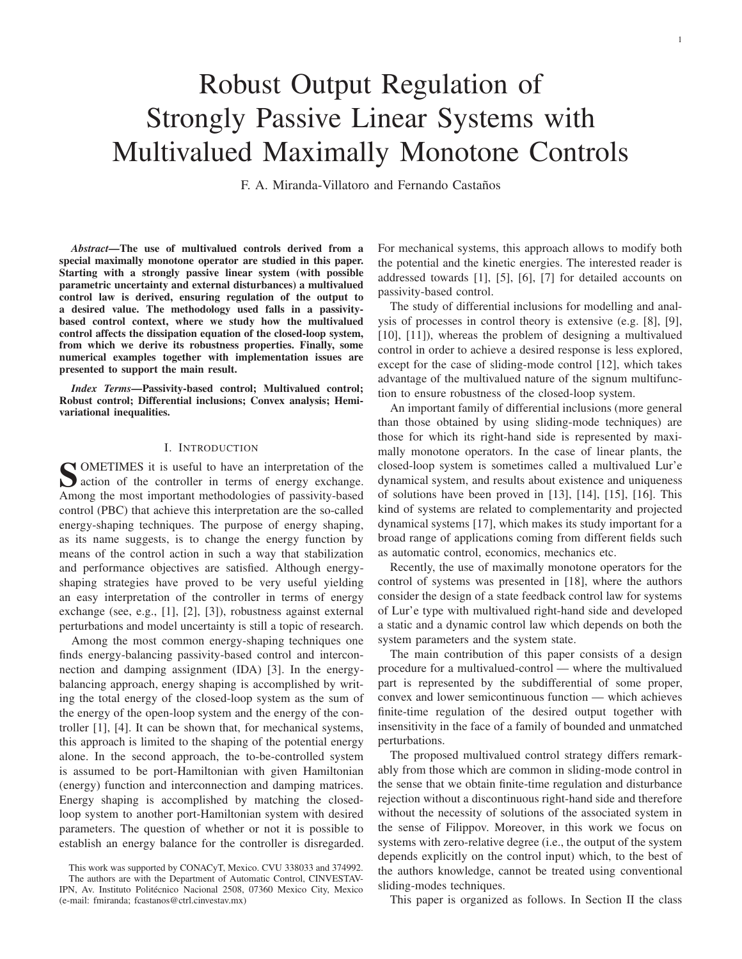$\mathbf{1}$ 

# **Robust Output Regulation of Strongly Passive Linear Systems with** Multivalued Maximally Monotone Controls

F. A. Miranda-Villatoro and Fernando Castaños

Abstract-The use of multivalued controls derived from a special maximally monotone operator are studied in this paper. Starting with a strongly passive linear system (with possible parametric uncertainty and external disturbances) a multivalued control law is derived, ensuring regulation of the output to a desired value. The methodology used falls in a passivitybased control context, where we study how the multivalued control affects the dissipation equation of the closed-loop system, from which we derive its robustness properties. Finally, some numerical examples together with implementation issues are presented to support the main result.

Index Terms-Passivity-based control; Multivalued control; Robust control; Differential inclusions; Convex analysis; Hemivariational inequalities.

# I. INTRODUCTION

**SOMETIMES** it is useful to have an interpretation of the action of the controller in terms of energy exchange. Among the most important methodologies of passivity-based control (PBC) that achieve this interpretation are the so-called energy-shaping techniques. The purpose of energy shaping, as its name suggests, is to change the energy function by means of the control action in such a way that stabilization and performance objectives are satisfied. Although energyshaping strategies have proved to be very useful yielding an easy interpretation of the controller in terms of energy exchange (see, e.g., [1], [2], [3]), robustness against external perturbations and model uncertainty is still a topic of research.

Among the most common energy-shaping techniques one finds energy-balancing passivity-based control and interconnection and damping assignment (IDA) [3]. In the energybalancing approach, energy shaping is accomplished by writing the total energy of the closed-loop system as the sum of the energy of the open-loop system and the energy of the controller  $[1]$ ,  $[4]$ . It can be shown that, for mechanical systems, this approach is limited to the shaping of the potential energy alone. In the second approach, the to-be-controlled system is assumed to be port-Hamiltonian with given Hamiltonian (energy) function and interconnection and damping matrices. Energy shaping is accomplished by matching the closedloop system to another port-Hamiltonian system with desired parameters. The question of whether or not it is possible to establish an energy balance for the controller is disregarded.

This work was supported by CONACyT, Mexico. CVU 338033 and 374992. The authors are with the Department of Automatic Control, CINVESTAV-IPN, Av. Instituto Politécnico Nacional 2508, 07360 Mexico City, Mexico (e-mail: fmiranda; fcastanos@ctrl.cinvestav.mx)

For mechanical systems, this approach allows to modify both the potential and the kinetic energies. The interested reader is addressed towards [1], [5], [6], [7] for detailed accounts on passivity-based control.

The study of differential inclusions for modelling and analysis of processes in control theory is extensive  $(e.g. [8], [9],$  $[10]$ ,  $[11]$ ), whereas the problem of designing a multivalued control in order to achieve a desired response is less explored, except for the case of sliding-mode control [12], which takes advantage of the multivalued nature of the signum multifunction to ensure robustness of the closed-loop system.

An important family of differential inclusions (more general than those obtained by using sliding-mode techniques) are those for which its right-hand side is represented by maximally monotone operators. In the case of linear plants, the closed-loop system is sometimes called a multivalued Lur'e dynamical system, and results about existence and uniqueness of solutions have been proved in  $[13]$ ,  $[14]$ ,  $[15]$ ,  $[16]$ . This kind of systems are related to complementarity and projected dynamical systems [17], which makes its study important for a broad range of applications coming from different fields such as automatic control, economics, mechanics etc.

Recently, the use of maximally monotone operators for the control of systems was presented in [18], where the authors consider the design of a state feedback control law for systems of Lur'e type with multivalued right-hand side and developed a static and a dynamic control law which depends on both the system parameters and the system state.

The main contribution of this paper consists of a design procedure for a multivalued-control — where the multivalued part is represented by the subdifferential of some proper, convex and lower semicontinuous function — which achieves finite-time regulation of the desired output together with insensitivity in the face of a family of bounded and unmatched perturbations.

The proposed multivalued control strategy differs remarkably from those which are common in sliding-mode control in the sense that we obtain finite-time regulation and disturbance rejection without a discontinuous right-hand side and therefore without the necessity of solutions of the associated system in the sense of Filippov. Moreover, in this work we focus on systems with zero-relative degree (i.e., the output of the system depends explicitly on the control input) which, to the best of the authors knowledge, cannot be treated using conventional sliding-modes techniques.

This paper is organized as follows. In Section II the class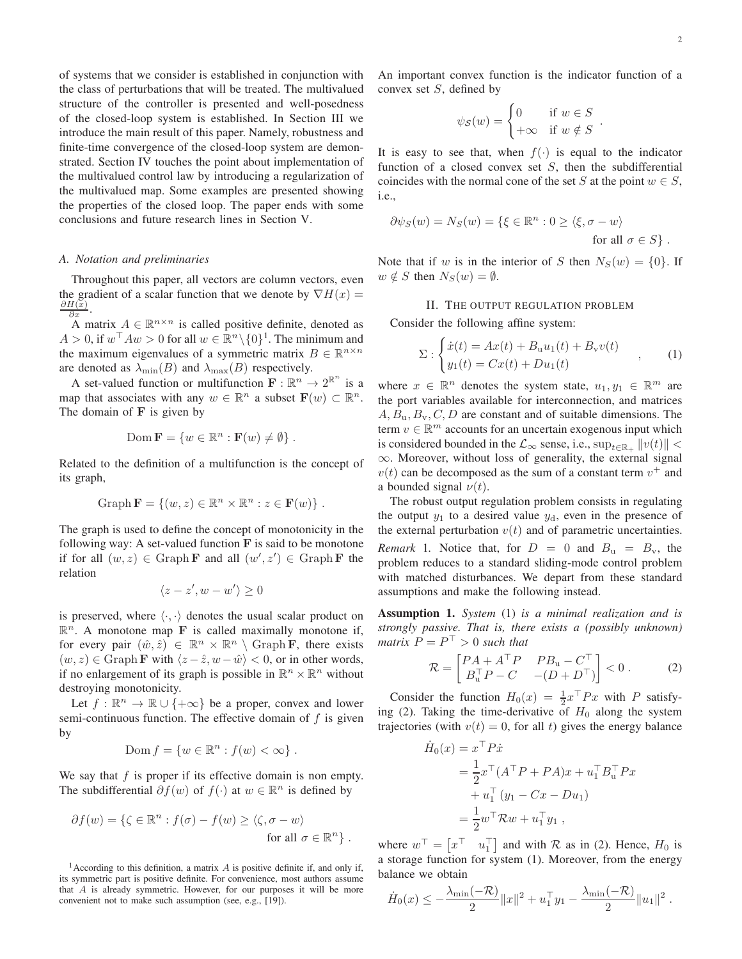of systems that we consider is established in conjunction with the class of perturbations that will be treated. The multivalued structure of the controller is presented and well-posedness of the closed-loop system is established. In Section III we introduce the main result of this paper. Namely, robustness and finite-time convergence of the closed-loop system are demonstrated. Section IV touches the point about implementation of the multivalued control law by introducing a regularization of the multivalued map. Some examples are presented showing the properties of the closed loop. The paper ends with some conclusions and future research lines in Section V.

# A. Notation and preliminaries

Throughout this paper, all vectors are column vectors, even the gradient of a scalar function that we denote by  $\nabla H(x) =$  $\partial H(x)$  $\partial x$ 

A matrix  $A \in \mathbb{R}^{n \times n}$  is called positive definite, denoted as  $A > 0$ , if  $w^{\top} A w > 0$  for all  $w \in \mathbb{R}^n \setminus \{0\}^1$ . The minimum and the maximum eigenvalues of a symmetric matrix  $B \in \mathbb{R}^{n \times n}$ are denoted as  $\lambda_{\min}(B)$  and  $\lambda_{\max}(B)$  respectively.

A set-valued function or multifunction  $\mathbf{F} : \mathbb{R}^n \to 2^{\mathbb{R}^n}$  is a map that associates with any  $w \in \mathbb{R}^n$  a subset  $\mathbf{F}(w) \subset \mathbb{R}^n$ . The domain of  $F$  is given by

$$
\text{Dom }\mathbf{F} = \{w \in \mathbb{R}^n : \mathbf{F}(w) \neq \emptyset\}
$$

Related to the definition of a multifunction is the concept of its graph,

$$
\operatorname{Graph} \mathbf{F} = \{(w, z) \in \mathbb{R}^n \times \mathbb{R}^n : z \in \mathbf{F}(w)\}.
$$

The graph is used to define the concept of monotonicity in the following way: A set-valued function  $\bf{F}$  is said to be monotone if for all  $(w, z) \in \text{Graph } \mathbf{F}$  and all  $(w', z') \in \text{Graph } \mathbf{F}$  the relation

$$
\langle z-z', w-w'\rangle \ge 0
$$

is preserved, where  $\langle \cdot, \cdot \rangle$  denotes the usual scalar product on  $\mathbb{R}^n$ . A monotone map **F** is called maximally monotone if, for every pair  $(\hat{w}, \hat{z}) \in \mathbb{R}^n \times \mathbb{R}^n \setminus \text{Graph F}$ , there exists  $(w, z) \in \text{Graph } \mathbf{F}$  with  $\langle z - \hat{z}, w - \hat{w} \rangle < 0$ , or in other words, if no enlargement of its graph is possible in  $\mathbb{R}^n \times \mathbb{R}^n$  without destroying monotonicity.

Let  $f : \mathbb{R}^n \to \mathbb{R} \cup \{+\infty\}$  be a proper, convex and lower semi-continuous function. The effective domain of  $f$  is given by

$$
Dom f = \{ w \in \mathbb{R}^n : f(w) < \infty \} .
$$

We say that  $f$  is proper if its effective domain is non empty. The subdifferential  $\partial f(w)$  of  $f(\cdot)$  at  $w \in \mathbb{R}^n$  is defined by

$$
\partial f(w) = \{ \zeta \in \mathbb{R}^n : f(\sigma) - f(w) \ge \langle \zeta, \sigma - w \rangle \text{ for all } \sigma \in \mathbb{R}^n \} .
$$

<sup>1</sup> According to this definition, a matrix  $A$  is positive definite if, and only if, its symmetric part is positive definite. For convenience, most authors assume that  $A$  is already symmetric. However, for our purposes it will be more convenient not to make such assumption (see, e.g., [19]).

An important convex function is the indicator function of a convex set  $S$ , defined by

$$
\psi_{\mathcal{S}}(w) = \begin{cases} 0 & \text{if } w \in S \\ +\infty & \text{if } w \notin S \end{cases}
$$

It is easy to see that, when  $f(\cdot)$  is equal to the indicator function of a closed convex set  $S$ , then the subdifferential coincides with the normal cone of the set S at the point  $w \in S$ , *i.e..* 

$$
\partial \psi_S(w) = N_S(w) = \{ \xi \in \mathbb{R}^n : 0 \ge \langle \xi, \sigma - w \rangle
$$
  
for all  $\sigma \in S \}.$ 

Note that if w is in the interior of S then  $N_S(w) = \{0\}$ . If  $w \notin S$  then  $N_S(w) = \emptyset$ .

# II. THE OUTPUT REGULATION PROBLEM

Consider the following affine system:

$$
\Sigma: \begin{cases} \dot{x}(t) = Ax(t) + B_u u_1(t) + B_v v(t) \\ y_1(t) = Cx(t) + D u_1(t) \end{cases}
$$
, (1)

where  $x \in \mathbb{R}^n$  denotes the system state,  $u_1, y_1 \in \mathbb{R}^m$  are the port variables available for interconnection, and matrices  $A, B_{\rm u}, B_{\rm v}, C, D$  are constant and of suitable dimensions. The term  $v \in \mathbb{R}^m$  accounts for an uncertain exogenous input which is considered bounded in the  $\mathcal{L}_{\infty}$  sense, i.e.,  $\sup_{t \in \mathbb{R}_+} ||v(t)||$  <  $\infty$ . Moreover, without loss of generality, the external signal  $v(t)$  can be decomposed as the sum of a constant term  $v^{+}$  and a bounded signal  $\nu(t)$ .

The robust output regulation problem consists in regulating the output  $y_1$  to a desired value  $y_d$ , even in the presence of the external perturbation  $v(t)$  and of parametric uncertainties. *Remark* 1. Notice that, for  $D = 0$  and  $B_u = B_v$ , the problem reduces to a standard sliding-mode control problem with matched disturbances. We depart from these standard assumptions and make the following instead.

**Assumption 1.** System (1) is a minimal realization and is strongly passive. That is, there exists a (possibly unknown) matrix  $P = P^{\top} > 0$  such that

$$
\mathcal{R} = \begin{bmatrix} P A + A^{\top} P & P B_{\mathbf{u}} - C^{\top} \\ B_{\mathbf{u}}^{\top} P - C & -(D + D^{\top}) \end{bmatrix} < 0 . \tag{2}
$$

Consider the function  $H_0(x) = \frac{1}{2}x^\top Px$  with P satisfying (2). Taking the time-derivative of  $H_0$  along the system trajectories (with  $v(t) = 0$ , for all t) gives the energy balance

$$
\dot{H}_0(x) = x^\top P \dot{x} \n= \frac{1}{2} x^\top (A^\top P + P A) x + u_1^\top B_u^\top P x \n+ u_1^\top (y_1 - Cx - Du_1) \n= \frac{1}{2} w^\top R w + u_1^\top y_1 ,
$$

where  $w^{\top} = \begin{bmatrix} x^{\top} & u_1^{\top} \end{bmatrix}$  and with  $\mathcal R$  as in (2). Hence,  $H_0$  is a storage function for system (1). Moreover, from the energy balance we obtain

$$
\dot{H}_0(x) \leq -\frac{\lambda_{\min}(-\mathcal{R})}{2} ||x||^2 + u_1^\top y_1 - \frac{\lambda_{\min}(-\mathcal{R})}{2} ||u_1||^2.
$$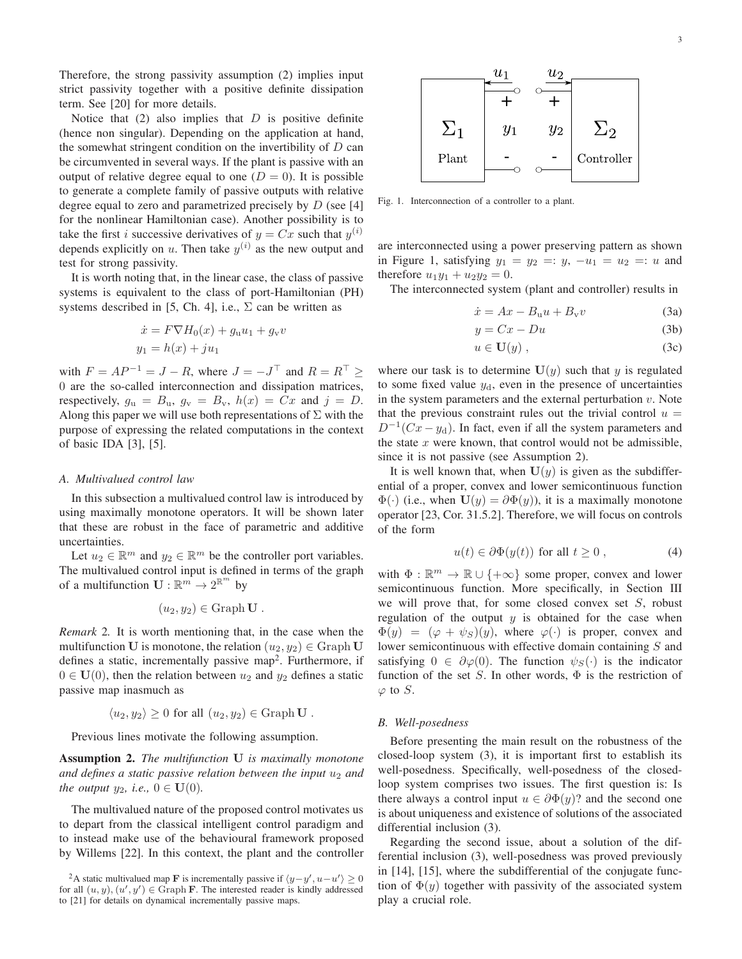Therefore, the strong passivity assumption (2) implies input strict passivity together with a positive definite dissipation term. See [20] for more details.

Notice that  $(2)$  also implies that  $D$  is positive definite (hence non singular). Depending on the application at hand, the somewhat stringent condition on the invertibility of  $D$  can be circumvented in several ways. If the plant is passive with an output of relative degree equal to one  $(D = 0)$ . It is possible to generate a complete family of passive outputs with relative degree equal to zero and parametrized precisely by  $D$  (see [4] for the nonlinear Hamiltonian case). Another possibility is to take the first *i* successive derivatives of  $y = Cx$  such that  $y^{(i)}$ depends explicitly on u. Then take  $y^{(i)}$  as the new output and test for strong passivity.

It is worth noting that, in the linear case, the class of passive systems is equivalent to the class of port-Hamiltonian (PH) systems described in [5, Ch. 4], i.e.,  $\Sigma$  can be written as

$$
\dot{x} = F \nabla H_0(x) + g_u u_1 + g_v v
$$
  

$$
y_1 = h(x) + ju_1
$$

with  $F = AP^{-1} = J - R$ , where  $J = -J^{\top}$  and  $R = R^{\top} \ge$ 0 are the so-called interconnection and dissipation matrices, respectively,  $g_u = B_u$ ,  $g_v = B_v$ ,  $h(x) = Cx$  and  $j = D$ . Along this paper we will use both representations of  $\Sigma$  with the purpose of expressing the related computations in the context of basic IDA [3], [5].

# A. Multivalued control law

In this subsection a multivalued control law is introduced by using maximally monotone operators. It will be shown later that these are robust in the face of parametric and additive uncertainties.

Let  $u_2 \in \mathbb{R}^m$  and  $y_2 \in \mathbb{R}^m$  be the controller port variables. The multivalued control input is defined in terms of the graph of a multifunction  $\mathbf{U} : \mathbb{R}^m \to 2^{\mathbb{R}^m}$  by

$$
(u_2, y_2) \in \text{Graph } U
$$

Remark 2. It is worth mentioning that, in the case when the multifunction U is monotone, the relation  $(u_2, y_2) \in \text{Graph } U$ defines a static, incrementally passive map<sup>2</sup>. Furthermore, if  $0 \in U(0)$ , then the relation between  $u_2$  and  $y_2$  defines a static passive map inasmuch as

$$
\langle u_2, y_2 \rangle \geq 0
$$
 for all  $(u_2, y_2) \in \text{Graph } U$ .

Previous lines motivate the following assumption.

**Assumption 2.** The multifunction U is maximally monotone and defines a static passive relation between the input  $u_2$  and the output  $y_2$ , i.e.,  $0 \in \mathbf{U}(0)$ .

The multivalued nature of the proposed control motivates us to depart from the classical intelligent control paradigm and to instead make use of the behavioural framework proposed by Willems [22]. In this context, the plant and the controller  $\overline{3}$ 



Fig. 1. Interconnection of a controller to a plant.

are interconnected using a power preserving pattern as shown in Figure 1, satisfying  $y_1 = y_2 =: y_1 - u_1 = u_2 =: u$  and therefore  $u_1y_1 + u_2y_2 = 0$ .

The interconnected system (plant and controller) results in

$$
\dot{x} = Ax - B_u u + B_v v \tag{3a}
$$

$$
y = Cx - Du \tag{3b}
$$

$$
u \in \mathbf{U}(y) , \tag{3c}
$$

where our task is to determine  $U(y)$  such that y is regulated to some fixed value  $y_d$ , even in the presence of uncertainties in the system parameters and the external perturbation  $v$ . Note that the previous constraint rules out the trivial control  $u =$  $D^{-1}(Cx - y_d)$ . In fact, even if all the system parameters and the state  $x$  were known, that control would not be admissible, since it is not passive (see Assumption 2).

It is well known that, when  $U(y)$  is given as the subdifferential of a proper, convex and lower semicontinuous function  $\Phi(\cdot)$  (i.e., when  $U(y) = \partial \Phi(y)$ ), it is a maximally monotone operator [23, Cor. 31.5.2]. Therefore, we will focus on controls of the form

$$
u(t) \in \partial \Phi(y(t)) \text{ for all } t \ge 0 , \qquad (4)
$$

with  $\Phi : \mathbb{R}^m \to \mathbb{R} \cup \{+\infty\}$  some proper, convex and lower semicontinuous function. More specifically, in Section III we will prove that, for some closed convex set  $S$ , robust regulation of the output  $y$  is obtained for the case when  $\Phi(y) = (\varphi + \psi_S)(y)$ , where  $\varphi(\cdot)$  is proper, convex and lower semicontinuous with effective domain containing  $S$  and satisfying  $0 \in \partial \varphi(0)$ . The function  $\psi_S(\cdot)$  is the indicator function of the set S. In other words,  $\Phi$  is the restriction of  $\varphi$  to S.

# B. Well-posedness

Before presenting the main result on the robustness of the closed-loop system  $(3)$ , it is important first to establish its well-posedness. Specifically, well-posedness of the closedloop system comprises two issues. The first question is: Is there always a control input  $u \in \partial \Phi(y)$ ? and the second one is about uniqueness and existence of solutions of the associated differential inclusion (3).

Regarding the second issue, about a solution of the differential inclusion (3), well-posedness was proved previously in [14], [15], where the subdifferential of the conjugate function of  $\Phi(y)$  together with passivity of the associated system play a crucial role.

<sup>&</sup>lt;sup>2</sup>A static multivalued map **F** is incrementally passive if  $\langle y-y', u-u' \rangle \ge 0$ for all  $(u, y), (u', y') \in \text{Graph } F$ . The interested reader is kindly addressed to [21] for details on dynamical incrementally passive maps.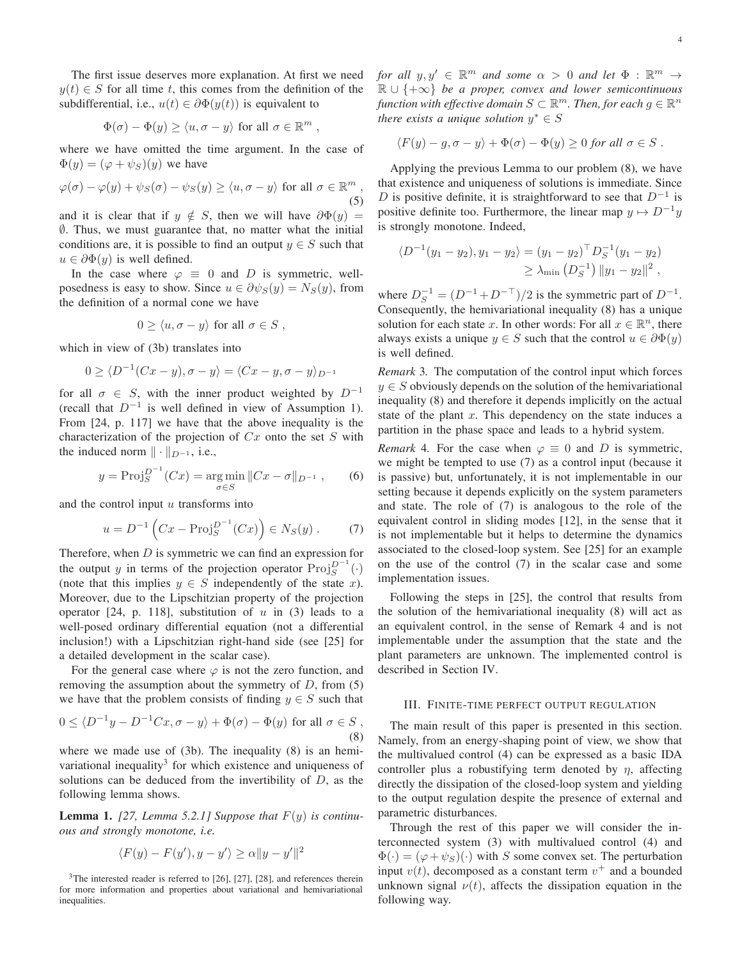The first issue deserves more explanation. At first we need  $y(t) \in S$  for all time t, this comes from the definition of the subdifferential, i.e.,  $u(t) \in \partial \Phi(y(t))$  is equivalent to

$$
\Phi(\sigma) - \Phi(y) \ge \langle u, \sigma - y \rangle \text{ for all } \sigma \in \mathbb{R}^m
$$

where we have omitted the time argument. In the case of  $\Phi(y) = (\varphi + \psi_S)(y)$  we have

$$
\varphi(\sigma) - \varphi(y) + \psi_S(\sigma) - \psi_S(y) \ge \langle u, \sigma - y \rangle \text{ for all } \sigma \in \mathbb{R}^m
$$
\n
$$
(5)
$$

and it is clear that if  $y \notin S$ , then we will have  $\partial \Phi(y) =$  $\emptyset$ . Thus, we must guarantee that, no matter what the initial conditions are, it is possible to find an output  $y \in S$  such that  $u \in \partial \Phi(y)$  is well defined.

In the case where  $\varphi \equiv 0$  and D is symmetric, wellposedness is easy to show. Since  $u \in \partial \psi_S(y) = N_S(y)$ , from the definition of a normal cone we have

$$
0 \ge \langle u, \sigma - y \rangle \text{ for all } \sigma \in S ,
$$

which in view of (3b) translates into

$$
0 \ge \langle D^{-1}(Cx - y), \sigma - y \rangle = \langle Cx - y, \sigma - y \rangle_{D^{-1}}
$$

for all  $\sigma \in S$ , with the inner product weighted by  $D^{-1}$ (recall that  $D^{-1}$  is well defined in view of Assumption 1). From  $[24, p. 117]$  we have that the above inequality is the characterization of the projection of  $Cx$  onto the set S with the induced norm  $\|\cdot\|_{D^{-1}}$ , i.e.,

$$
y = \text{Proj}_{S}^{D^{-1}}(Cx) = \underset{\sigma \in S}{\text{arg min}} \|Cx - \sigma\|_{D^{-1}}, \qquad (6)
$$

and the control input  $u$  transforms into

$$
u = D^{-1} (Cx - Proj_S^{D^{-1}}(Cx)) \in N_S(y)
$$
. (7)

Therefore, when  $D$  is symmetric we can find an expression for the output y in terms of the projection operator  $\text{Proj}_{S}^{D^{-1}}(\cdot)$ (note that this implies  $y \in S$  independently of the state x). Moreover, due to the Lipschitzian property of the projection operator [24, p. 118], substitution of  $u$  in (3) leads to a well-posed ordinary differential equation (not a differential inclusion!) with a Lipschitzian right-hand side (see [25] for a detailed development in the scalar case).

For the general case where  $\varphi$  is not the zero function, and removing the assumption about the symmetry of  $D$ , from (5) we have that the problem consists of finding  $y \in S$  such that

$$
0 \le \langle D^{-1}y - D^{-1}Cx, \sigma - y \rangle + \Phi(\sigma) - \Phi(y) \text{ for all } \sigma \in S,
$$
\n(8)

where we made use of  $(3b)$ . The inequality  $(8)$  is an hemivariational inequality<sup>3</sup> for which existence and uniqueness of solutions can be deduced from the invertibility of  $D$ , as the following lemma shows.

**Lemma 1.** [27, Lemma 5.2.1] Suppose that  $F(y)$  is continuous and strongly monotone, i.e.

$$
\langle F(y) - F(y'), y - y' \rangle \ge \alpha ||y - y'||^2
$$

 $3$ The interested reader is referred to [26], [27], [28], and references therein for more information and properties about variational and hemivariational inequalities.

for all  $y, y' \in \mathbb{R}^m$  and some  $\alpha > 0$  and let  $\Phi : \mathbb{R}^m \to$  $\mathbb{R} \cup \{+\infty\}$  be a proper, convex and lower semicontinuous function with effective domain  $S \subset \mathbb{R}^m$ . Then, for each  $g \in \mathbb{R}^n$ there exists a unique solution  $y^* \in S$ 

$$
\langle F(y) - g, \sigma - y \rangle + \Phi(\sigma) - \Phi(y) \ge 0 \text{ for all } \sigma \in S.
$$

Applying the previous Lemma to our problem (8), we have that existence and uniqueness of solutions is immediate. Since D is positive definite, it is straightforward to see that  $D^{-1}$  is positive definite too. Furthermore, the linear map  $y \mapsto D^{-1}y$ is strongly monotone. Indeed,

$$
\langle D^{-1}(y_1 - y_2), y_1 - y_2 \rangle = (y_1 - y_2)^{\top} D_S^{-1}(y_1 - y_2)
$$
  
 
$$
\geq \lambda_{\min} (D_S^{-1}) ||y_1 - y_2||^2,
$$

where  $D_S^{-1} = (D^{-1} + D^{-\top})/2$  is the symmetric part of  $D^{-1}$ . Consequently, the hemivariational inequality (8) has a unique solution for each state x. In other words: For all  $x \in \mathbb{R}^n$ , there always exists a unique  $y \in S$  such that the control  $u \in \partial \Phi(y)$ is well defined.

Remark 3. The computation of the control input which forces  $y \in S$  obviously depends on the solution of the hemivariational inequality (8) and therefore it depends implicitly on the actual state of the plant x. This dependency on the state induces a partition in the phase space and leads to a hybrid system.

*Remark* 4. For the case when  $\varphi \equiv 0$  and *D* is symmetric, we might be tempted to use  $(7)$  as a control input (because it is passive) but, unfortunately, it is not implementable in our setting because it depends explicitly on the system parameters and state. The role of (7) is analogous to the role of the equivalent control in sliding modes [12], in the sense that it is not implementable but it helps to determine the dynamics associated to the closed-loop system. See [25] for an example on the use of the control  $(7)$  in the scalar case and some implementation issues.

Following the steps in [25], the control that results from the solution of the hemivariational inequality (8) will act as an equivalent control, in the sense of Remark 4 and is not implementable under the assumption that the state and the plant parameters are unknown. The implemented control is described in Section IV.

# III. FINITE-TIME PERFECT OUTPUT REGULATION

The main result of this paper is presented in this section. Namely, from an energy-shaping point of view, we show that the multivalued control (4) can be expressed as a basic IDA controller plus a robustifying term denoted by  $\eta$ , affecting directly the dissipation of the closed-loop system and yielding to the output regulation despite the presence of external and parametric disturbances.

Through the rest of this paper we will consider the interconnected system (3) with multivalued control (4) and  $\Phi(\cdot) = (\varphi + \psi_S)(\cdot)$  with S some convex set. The perturbation input  $v(t)$ , decomposed as a constant term  $v^{+}$  and a bounded unknown signal  $\nu(t)$ , affects the dissipation equation in the following way.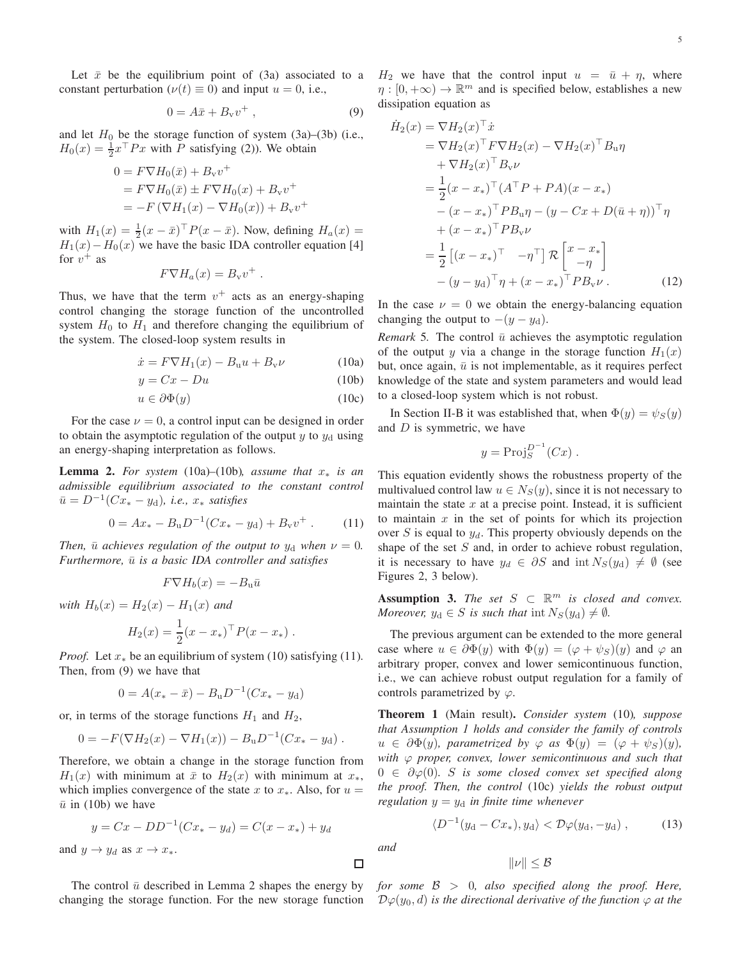Let  $\bar{x}$  be the equilibrium point of (3a) associated to a constant perturbation ( $\nu(t) \equiv 0$ ) and input  $u = 0$ , i.e.,

$$
0 = A\bar{x} + B_{\mathbf{v}}v^{+} \,, \tag{9}
$$

and let  $H_0$  be the storage function of system (3a)–(3b) (i.e.,  $H_0(x) = \frac{1}{2}x^\top P x$  with P satisfying (2)). We obtain

$$
0 = F \nabla H_0(\bar{x}) + B_v v^+
$$
  
=  $F \nabla H_0(\bar{x}) \pm F \nabla H_0(x) + B_v v^+$   
=  $-F (\nabla H_1(x) - \nabla H_0(x)) + B_v v^+$ 

with  $H_1(x) = \frac{1}{2}(x - \bar{x})^{\top} P(x - \bar{x})$ . Now, defining  $H_a(x) =$  $H_1(x) - H_0(x)$  we have the basic IDA controller equation [4] for  $v^+$  as

$$
F\nabla H_a(x) = B_{\rm v}v^+
$$

Thus, we have that the term  $v^+$  acts as an energy-shaping control changing the storage function of the uncontrolled system  $H_0$  to  $H_1$  and therefore changing the equilibrium of the system. The closed-loop system results in

$$
\dot{x} = F \nabla H_1(x) - B_u u + B_v \nu \tag{10a}
$$

$$
y = Cx - Du \tag{10b}
$$

$$
u \in \partial \Phi(y) \tag{10c}
$$

For the case  $\nu = 0$ , a control input can be designed in order to obtain the asymptotic regulation of the output  $y$  to  $y_d$  using an energy-shaping interpretation as follows.

**Lemma 2.** For system (10a)–(10b), assume that  $x_*$  is an admissible equilibrium associated to the constant control  $\bar{u} = D^{-1}(Cx_* - y_d)$ , *i.e.*,  $x_*$  satisfies

$$
0 = Ax_* - B_u D^{-1} (Cx_* - y_d) + B_v v^+ \,. \tag{11}
$$

Then,  $\bar{u}$  achieves regulation of the output to  $y_d$  when  $\nu = 0$ . Furthermore,  $\bar{u}$  is a basic IDA controller and satisfies

$$
F \nabla H_b(x) = -B_{\rm u} \bar{u}
$$

with  $H_b(x) = H_2(x) - H_1(x)$  and

and

 $\overline{\mathfrak{c}}$ 

$$
H_2(x) = \frac{1}{2}(x - x_*)^{\top} P(x - x_*)
$$

*Proof.* Let  $x_*$  be an equilibrium of system (10) satisfying (11). Then, from  $(9)$  we have that

$$
0 = A(x_* - \bar{x}) - B_u D^{-1} (Cx_* - y_d)
$$

or, in terms of the storage functions  $H_1$  and  $H_2$ ,

$$
0 = -F(\nabla H_2(x) - \nabla H_1(x)) - B_u D^{-1} (Cx_* - y_d).
$$

Therefore, we obtain a change in the storage function from  $H_1(x)$  with minimum at  $\bar{x}$  to  $H_2(x)$  with minimum at  $x_*,$ which implies convergence of the state x to  $x_*$ . Also, for  $u =$  $\bar{u}$  in (10b) we have

$$
y = Cx - DD^{-1}(Cx_* - y_d) = C(x - x_*) + y_d
$$
  

$$
y \rightarrow y_d \text{ as } x \rightarrow x_*
$$

The control  $\bar{u}$  described in Lemma 2 shapes the energy by changing the storage function. For the new storage function  $H_2$  we have that the control input  $u = \bar{u} + \eta$ , where  $\eta:[0,+\infty) \to \mathbb{R}^m$  and is specified below, establishes a new dissipation equation as

$$
\dot{H}_2(x) = \nabla H_2(x)^\top \dot{x} \n= \nabla H_2(x)^\top F \nabla H_2(x) - \nabla H_2(x)^\top B_u \eta \n+ \nabla H_2(x)^\top B_v \nu \n= \frac{1}{2} (x - x_*)^\top (A^\top P + PA)(x - x_*) \n- (x - x_*)^\top P B_u \eta - (y - Cx + D(\bar{u} + \eta))^\top \eta \n+ (x - x_*)^\top P B_v \nu \n= \frac{1}{2} [(x - x_*)^\top - \eta^\top] \mathcal{R} \begin{bmatrix} x - x_* \\ -\eta \end{bmatrix} \n- (y - y_d)^\top \eta + (x - x_*)^\top P B_v \nu .
$$
\n(12)

In the case  $\nu = 0$  we obtain the energy-balancing equation changing the output to  $-(y - y_d)$ .

*Remark* 5. The control  $\bar{u}$  achieves the asymptotic regulation of the output y via a change in the storage function  $H_1(x)$ but, once again,  $\bar{u}$  is not implementable, as it requires perfect knowledge of the state and system parameters and would lead to a closed-loop system which is not robust.

In Section II-B it was established that, when  $\Phi(y) = \psi_S(y)$ and  $D$  is symmetric, we have

$$
y = \mathrm{Proj}_{S}^{D^{-1}}(Cx) .
$$

This equation evidently shows the robustness property of the multivalued control law  $u \in N_S(y)$ , since it is not necessary to maintain the state  $x$  at a precise point. Instead, it is sufficient to maintain  $x$  in the set of points for which its projection over S is equal to  $y_d$ . This property obviously depends on the shape of the set  $S$  and, in order to achieve robust regulation, it is necessary to have  $y_d \in \partial S$  and  $\text{int } N_S(y_d) \neq \emptyset$  (see Figures 2, 3 below).

**Assumption 3.** The set  $S \subset \mathbb{R}^m$  is closed and convex. Moreover,  $y_d \in S$  is such that  $\text{int } N_S(y_d) \neq \emptyset$ .

The previous argument can be extended to the more general case where  $u \in \partial \Phi(y)$  with  $\Phi(y) = (\varphi + \psi_S)(y)$  and  $\varphi$  and arbitrary proper, convex and lower semicontinuous function, i.e., we can achieve robust output regulation for a family of controls parametrized by  $\varphi$ .

**Theorem 1** (Main result). Consider system (10), suppose that Assumption 1 holds and consider the family of controls  $u \in \partial \Phi(y)$ , parametrized by  $\varphi$  as  $\Phi(y) = (\varphi + \psi_S)(y)$ , with  $\varphi$  proper, convex, lower semicontinuous and such that  $0 \in \partial \varphi(0)$ . S is some closed convex set specified along the proof. Then, the control (10c) yields the robust output regulation  $y = y_d$  in finite time whenever

> $\langle D^{-1}(y_{\rm d}-Cx_*) , y_{\rm d} \rangle < \mathcal{D}\varphi(y_{\rm d}, -y_{\rm d})$ ,  $(13)$

and

口

 $\|\nu\| < \mathcal{B}$ 

for some  $\beta > 0$ , also specified along the proof. Here,  $\mathcal{D}\varphi(y_0,d)$  is the directional derivative of the function  $\varphi$  at the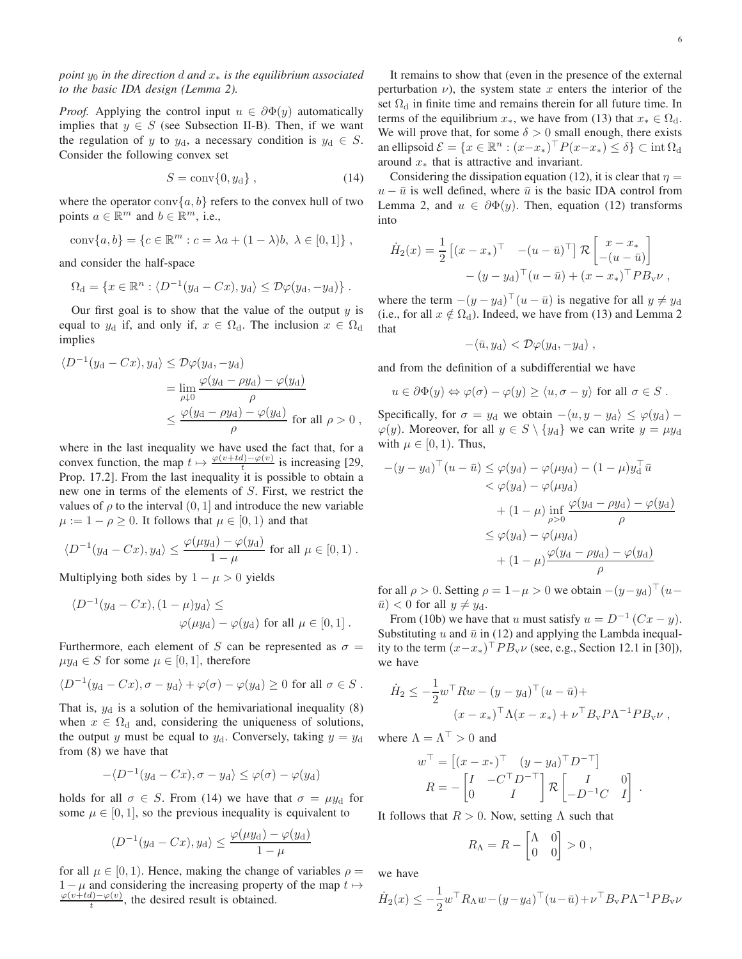point  $y_0$  in the direction d and  $x_*$  is the equilibrium associated to the basic IDA design (Lemma 2).

*Proof.* Applying the control input  $u \in \partial \Phi(y)$  automatically implies that  $y \in S$  (see Subsection II-B). Then, if we want the regulation of y to  $y_d$ , a necessary condition is  $y_d \in S$ . Consider the following convex set

$$
S = \text{conv}\{0, y_d\},\tag{14}
$$

where the operator conv $\{a, b\}$  refers to the convex hull of two points  $a \in \mathbb{R}^m$  and  $b \in \mathbb{R}^m$ , i.e.,

conv{
$$
a, b
$$
} = { $c \in \mathbb{R}^m : c = \lambda a + (1 - \lambda)b, \lambda \in [0, 1]$ },

and consider the half-space

$$
\Omega_{\rm d} = \{x \in \mathbb{R}^n : \langle D^{-1}(y_{\rm d} - Cx), y_{\rm d}\rangle \le \mathcal{D}\varphi(y_{\rm d}, -y_{\rm d})\}.
$$

Our first goal is to show that the value of the output  $y$  is equal to  $y_d$  if, and only if,  $x \in \Omega_d$ . The inclusion  $x \in \Omega_d$ implies

$$
\langle D^{-1}(y_{\rm d} - Cx), y_{\rm d}\rangle \leq \mathcal{D}\varphi(y_{\rm d}, -y_{\rm d})
$$
  
= 
$$
\lim_{\rho \downarrow 0} \frac{\varphi(y_{\rm d} - \rho y_{\rm d}) - \varphi(y_{\rm d})}{\rho}
$$
  

$$
\leq \frac{\varphi(y_{\rm d} - \rho y_{\rm d}) - \varphi(y_{\rm d})}{\rho} \text{ for all } \rho > 0 ,
$$

where in the last inequality we have used the fact that, for a where in the last mequanty  $\cdots$   $\frac{\varphi(v+td)-\varphi(v)}{t}$  is increasing [29, Prop. 17.2]. From the last inequality it is possible to obtain a new one in terms of the elements of S. First, we restrict the values of  $\rho$  to the interval  $(0, 1]$  and introduce the new variable  $\mu := 1 - \rho \geq 0$ . It follows that  $\mu \in [0, 1)$  and that

$$
\langle D^{-1}(y_{\rm d}-Cx), y_{\rm d}\rangle \le \frac{\varphi(\mu y_{\rm d})-\varphi(y_{\rm d})}{1-\mu}
$$
 for all  $\mu \in [0,1)$ .

Multiplying both sides by  $1 - \mu > 0$  yields

$$
\langle D^{-1}(y_{\rm d}-Cx), (1-\mu)y_{\rm d}\rangle \le
$$
  

$$
\varphi(\mu y_{\rm d}) - \varphi(y_{\rm d}) \text{ for all } \mu \in [0,1].
$$

Furthermore, each element of S can be represented as  $\sigma =$  $\mu y_d \in S$  for some  $\mu \in [0,1]$ , therefore

$$
\langle D^{-1}(y_{\rm d}-Cx), \sigma - y_{\rm d}\rangle + \varphi(\sigma) - \varphi(y_{\rm d}) \ge 0 \text{ for all } \sigma \in S
$$

That is,  $y_d$  is a solution of the hemivariational inequality (8) when  $x \in \Omega_d$  and, considering the uniqueness of solutions, the output y must be equal to  $y_d$ . Conversely, taking  $y = y_d$ from  $(8)$  we have that

$$
-\langle D^{-1}(y_{\rm d}-Cx), \sigma-y_{\rm d}\rangle \leq \varphi(\sigma)-\varphi(y_{\rm d})
$$

holds for all  $\sigma \in S$ . From (14) we have that  $\sigma = \mu y_d$  for some  $\mu \in [0, 1]$ , so the previous inequality is equivalent to

$$
\langle D^{-1}(y_{\rm d}-Cx), y_{\rm d}\rangle \le \frac{\varphi(\mu y_{\rm d})-\varphi(y_{\rm d})}{1-\mu}
$$

for all  $\mu \in [0, 1)$ . Hence, making the change of variables  $\rho =$  $1 - \mu$  and considering the increasing property of the map  $t \mapsto$  $\frac{\varphi(v+td)-\varphi(v)}{t}$ , the desired result is obtained.

It remains to show that (even in the presence of the external perturbation  $\nu$ ), the system state x enters the interior of the set  $\Omega_d$  in finite time and remains therein for all future time. In terms of the equilibrium  $x_*$ , we have from (13) that  $x_* \in \Omega_d$ . We will prove that, for some  $\delta > 0$  small enough, there exists an ellipsoid  $\mathcal{E} = \{x \in \mathbb{R}^n : (x - x_*)^\top P(x - x_*) \le \delta\} \subset \text{int } \Omega_d$ around  $x_*$  that is attractive and invariant.

Considering the dissipation equation (12), it is clear that  $\eta =$  $u - \bar{u}$  is well defined, where  $\bar{u}$  is the basic IDA control from Lemma 2, and  $u \in \partial \Phi(y)$ . Then, equation (12) transforms into

$$
\dot{H}_2(x) = \frac{1}{2} \left[ (x - x_*)^\top - (u - \bar{u})^\top \right] \mathcal{R} \begin{bmatrix} x - x_* \\ -(u - \bar{u}) \end{bmatrix}
$$

$$
- (y - y_\text{d})^\top (u - \bar{u}) + (x - x_*)^\top P B_\text{v} \nu ,
$$

where the term  $-(y - y_d)^\top (u - \bar{u})$  is negative for all  $y \neq y_d$ (i.e., for all  $x \notin \Omega_d$ ). Indeed, we have from (13) and Lemma 2 that

$$
-\langle \bar{u}, y_{\rm d}\rangle < \mathcal{D}\varphi(y_{\rm d}, -y_{\rm d})\ ,
$$

and from the definition of a subdifferential we have

$$
u \in \partial \Phi(y) \Leftrightarrow \varphi(\sigma) - \varphi(y) \ge \langle u, \sigma - y \rangle
$$
 for all  $\sigma \in S$ .

Specifically, for  $\sigma = y_d$  we obtain  $-\langle u, y - y_d \rangle \le \varphi(y_d)$  –  $\varphi(y)$ . Moreover, for all  $y \in S \setminus \{y_d\}$  we can write  $y = \mu y_d$ with  $\mu \in [0,1)$ . Thus,

$$
-(y - yd)+ (u - \bar{u}) \leq \varphi(yd) - \varphi(\mu yd) - (1 - \mu)yd+ \bar{u}
$$
  

$$
< \varphi(yd) - \varphi(\mu yd)
$$
  

$$
+ (1 - \mu) \inf_{\rho > 0} \frac{\varphi(yd - \rho yd) - \varphi(yd)}{\rho}
$$
  

$$
\leq \varphi(yd) - \varphi(\mu yd)
$$
  

$$
+ (1 - \mu) \frac{\varphi(yd - \rho yd) - \varphi(yd)}{\rho}
$$

for all  $\rho > 0$ . Setting  $\rho = 1 - \mu > 0$  we obtain  $-(y - y_d)^\top (u \bar{u}$  < 0 for all  $y \neq y_d$ .

From (10b) we have that u must satisfy  $u = D^{-1} (Cx - y)$ . Substituting  $u$  and  $\bar{u}$  in (12) and applying the Lambda inequality to the term  $(x-x_*)^\top P B_v \nu$  (see, e.g., Section 12.1 in [30]), we have

$$
\dot{H}_2 \le -\frac{1}{2} w^\top R w - (y - y_d)^\top (u - \bar{u}) +
$$
  

$$
(x - x_*)^\top \Lambda (x - x_*) + \nu^\top B_v P \Lambda^{-1} P B_v \nu ,
$$

where  $\Lambda = \Lambda^{\top} > 0$  and

$$
w^{\top} = \begin{bmatrix} (x - x_*)^{\top} & (y - y_0)^{\top} D^{-\top} \end{bmatrix}
$$

$$
R = -\begin{bmatrix} I & -C^{\top} D^{-\top} \\ 0 & I \end{bmatrix} \mathcal{R} \begin{bmatrix} I & 0 \\ -D^{-1}C & I \end{bmatrix}.
$$

It follows that  $R > 0$ . Now, setting  $\Lambda$  such that

$$
R_{\Lambda} = R - \begin{bmatrix} \Lambda & 0 \\ 0 & 0 \end{bmatrix} > 0 ,
$$

we have

$$
\dot{H}_2(x) \le -\frac{1}{2} w^\top R_\Lambda w - (y - y_\mathrm{d})^\top (u - \bar{u}) + \nu^\top B_\mathrm{v} P \Lambda^{-1} P B_\mathrm{v} \nu
$$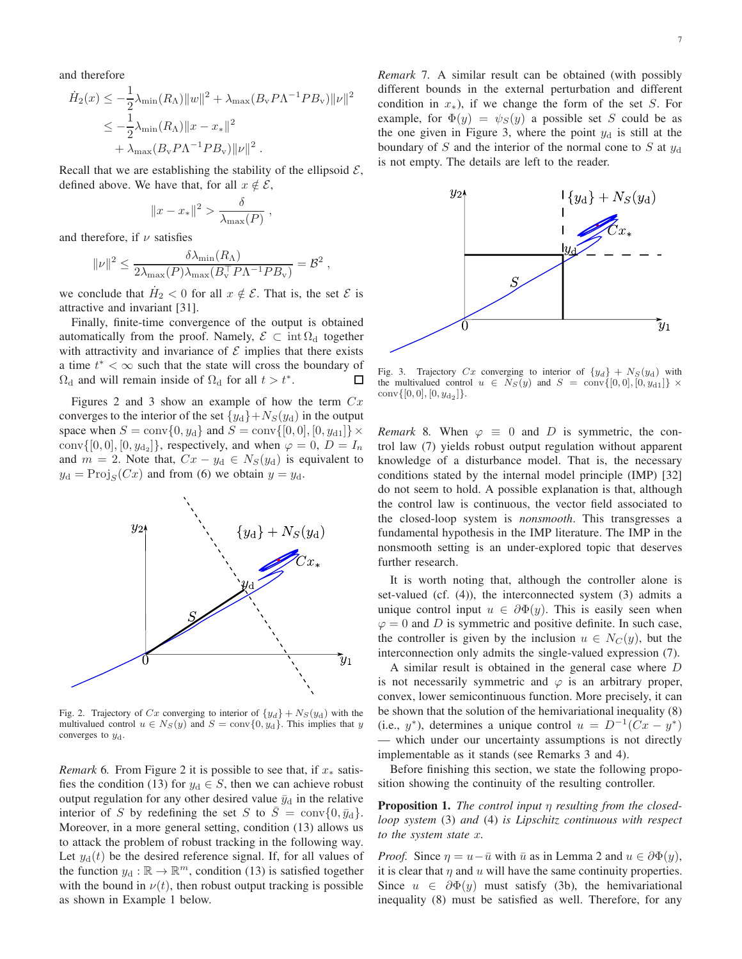and therefore

$$
\dot{H}_2(x) \le -\frac{1}{2}\lambda_{\min}(R_{\Lambda})\|w\|^2 + \lambda_{\max}(B_{\rm v}P\Lambda^{-1}PB_{\rm v})\|\nu\|^2
$$
  

$$
\le -\frac{1}{2}\lambda_{\min}(R_{\Lambda})\|x - x_{*}\|^2
$$
  

$$
+ \lambda_{\max}(B_{\rm v}P\Lambda^{-1}PB_{\rm v})\|\nu\|^2.
$$

Recall that we are establishing the stability of the ellipsoid  $\mathcal{E}$ , defined above. We have that, for all  $x \notin \mathcal{E}$ ,

$$
||x - x_*||^2 > \frac{\delta}{\lambda_{\max}(P)},
$$

and therefore, if  $\nu$  satisfies

$$
\|\nu\|^2 \leq \frac{\delta \lambda_{\min}(R_{\Lambda})}{2\lambda_{\max}(P)\lambda_{\max}(B_{\rm v}^\top P\Lambda^{-1}PB_{\rm v})} = \mathcal{B}^2,
$$

we conclude that  $H_2 < 0$  for all  $x \notin \mathcal{E}$ . That is, the set  $\mathcal E$  is attractive and invariant [31].

Finally, finite-time convergence of the output is obtained automatically from the proof. Namely,  $\mathcal{E} \subset \text{int} \Omega_d$  together with attractivity and invariance of  $\mathcal E$  implies that there exists a time  $t^* < \infty$  such that the state will cross the boundary of  $\Omega_d$  and will remain inside of  $\Omega_d$  for all  $t > t^*$ . □

Figures 2 and 3 show an example of how the term  $Cx$ converges to the interior of the set  $\{y_d\} + N_S(y_d)$  in the output space when  $S = \text{conv}{0, y_d}$  and  $S = \text{conv}{[0, 0], [0, y_{d1}]}\times$ conv $\{[0,0], [0, y_{d_2}]\}$ , respectively, and when  $\varphi = 0$ ,  $D = I_n$ and  $m = 2$ . Note that,  $Cx - y_d \in N_S(y_d)$  is equivalent to  $y_d = \text{Proj}_S(Cx)$  and from (6) we obtain  $y = y_d$ .



Fig. 2. Trajectory of Cx converging to interior of  $\{y_d\} + N_S(y_d)$  with the multivalued control  $u \in N_S(y)$  and  $S = \text{conv}\{0, y_d\}$ . This implies that y converges to  $y_d$ .

*Remark* 6. From Figure 2 it is possible to see that, if  $x_*$  satisfies the condition (13) for  $y_d \in S$ , then we can achieve robust output regulation for any other desired value  $\bar{y}_{d}$  in the relative interior of S by redefining the set S to  $\overline{S} = \text{conv}\{0, \overline{y}_d\}.$ Moreover, in a more general setting, condition (13) allows us to attack the problem of robust tracking in the following way. Let  $y_d(t)$  be the desired reference signal. If, for all values of the function  $y_d : \mathbb{R} \to \mathbb{R}^m$ , condition (13) is satisfied together with the bound in  $\nu(t)$ , then robust output tracking is possible as shown in Example 1 below.

*Remark 7.* A similar result can be obtained (with possibly different bounds in the external perturbation and different condition in  $x_*$ ), if we change the form of the set S. For example, for  $\Phi(y) = \psi_S(y)$  a possible set S could be as the one given in Figure 3, where the point  $y_d$  is still at the boundary of S and the interior of the normal cone to S at  $y_d$ is not empty. The details are left to the reader.



Fig. 3. Trajectory  $Cx$  converging to interior of  $\{y_d\} + N_S(y_d)$  with the multivalued control  $u \in N_S(y)$  and  $S = \text{conv}\{[0,0], [0,y_{d1}]\}\times$ conv $\{[0,0],[0,y_{d_2}]\}.$ 

*Remark* 8. When  $\varphi \equiv 0$  and D is symmetric, the control law (7) yields robust output regulation without apparent knowledge of a disturbance model. That is, the necessary conditions stated by the internal model principle (IMP) [32] do not seem to hold. A possible explanation is that, although the control law is continuous, the vector field associated to the closed-loop system is *nonsmooth*. This transgresses a fundamental hypothesis in the IMP literature. The IMP in the nonsmooth setting is an under-explored topic that deserves further research.

It is worth noting that, although the controller alone is set-valued (cf. (4)), the interconnected system (3) admits a unique control input  $u \in \partial \Phi(y)$ . This is easily seen when  $\varphi = 0$  and D is symmetric and positive definite. In such case, the controller is given by the inclusion  $u \in N_C(y)$ , but the interconnection only admits the single-valued expression (7).

A similar result is obtained in the general case where D is not necessarily symmetric and  $\varphi$  is an arbitrary proper, convex, lower semicontinuous function. More precisely, it can be shown that the solution of the hemivariational inequality (8) (i.e.,  $y^*$ ), determines a unique control  $u = D^{-1}(Cx - y^*)$ - which under our uncertainty assumptions is not directly implementable as it stands (see Remarks 3 and 4).

Before finishing this section, we state the following proposition showing the continuity of the resulting controller.

**Proposition 1.** The control input  $\eta$  resulting from the closedloop system (3) and (4) is Lipschitz continuous with respect to the system state  $x$ .

*Proof.* Since  $\eta = u - \bar{u}$  with  $\bar{u}$  as in Lemma 2 and  $u \in \partial \Phi(y)$ , it is clear that  $\eta$  and  $u$  will have the same continuity properties. Since  $u \in \partial \Phi(y)$  must satisfy (3b), the hemivariational inequality (8) must be satisfied as well. Therefore, for any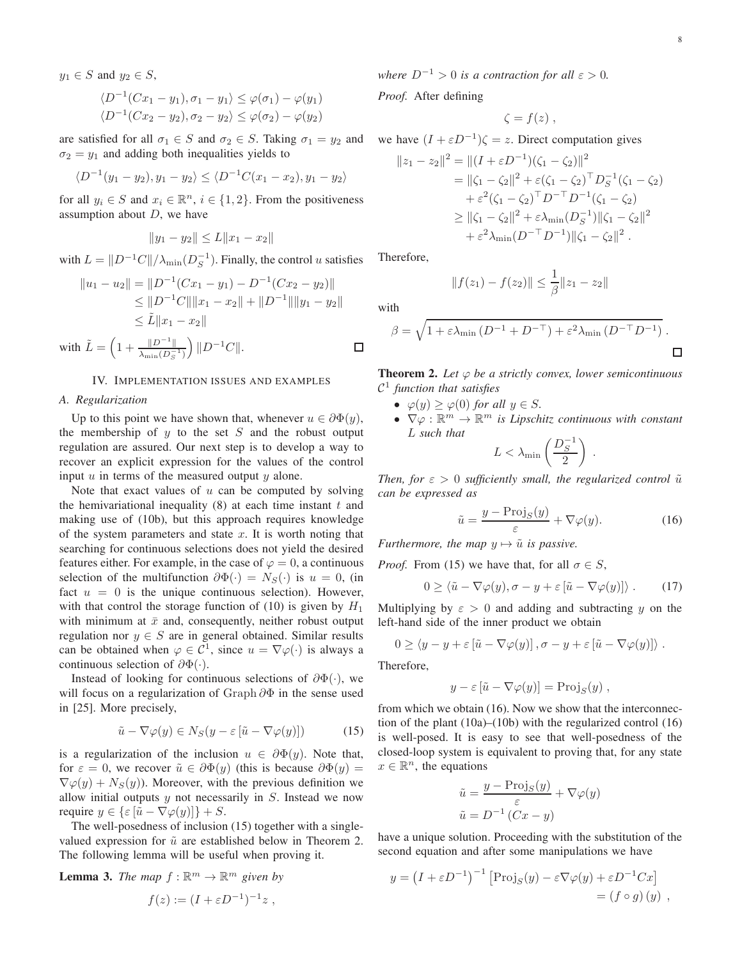$$
y_1 \in S \text{ and } y_2 \in S,
$$
  
\n
$$
\langle D^{-1}(Cx_1 - y_1), \sigma_1 - y_1 \rangle \le \varphi(\sigma_1) - \varphi(y_1)
$$
  
\n
$$
\langle D^{-1}(Cx_2 - y_2), \sigma_2 - y_2 \rangle \le \varphi(\sigma_2) - \varphi(y_2)
$$

are satisfied for all  $\sigma_1 \in S$  and  $\sigma_2 \in S$ . Taking  $\sigma_1 = y_2$  and  $\sigma_2 = y_1$  and adding both inequalities yields to

$$
\langle D^{-1}(y_1 - y_2), y_1 - y_2 \rangle \le \langle D^{-1}C(x_1 - x_2), y_1 - y_2 \rangle
$$

for all  $y_i \in S$  and  $x_i \in \mathbb{R}^n$ ,  $i \in \{1, 2\}$ . From the positiveness assumption about  $D$ , we have

$$
||y_1 - y_2|| \le L||x_1 - x_2||
$$

with  $L = ||D^{-1}C|| / \lambda_{\min}(D_S^{-1})$ . Finally, the control u satisfies

$$
||u_1 - u_2|| = ||D^{-1}(Cx_1 - y_1) - D^{-1}(Cx_2 - y_2)||
$$
  
\n
$$
\le ||D^{-1}C|| ||x_1 - x_2|| + ||D^{-1}|| ||y_1 - y_2||
$$
  
\n
$$
\le \tilde{L} ||x_1 - x_2||
$$
  
\nwith  $\tilde{L} = \left(1 + \frac{||D^{-1}||}{\lambda_{\min}(D_S^{-1})}\right) ||D^{-1}C||.$ 

## IV. IMPLEMENTATION ISSUES AND EXAMPLES

# A. Regularization

Up to this point we have shown that, whenever  $u \in \partial \Phi(y)$ , the membership of  $y$  to the set  $S$  and the robust output regulation are assured. Our next step is to develop a way to recover an explicit expression for the values of the control input  $u$  in terms of the measured output  $y$  alone.

Note that exact values of  $u$  can be computed by solving the hemivariational inequality  $(8)$  at each time instant  $t$  and making use of (10b), but this approach requires knowledge of the system parameters and state  $x$ . It is worth noting that searching for continuous selections does not yield the desired features either. For example, in the case of  $\varphi = 0$ , a continuous selection of the multifunction  $\partial \Phi(\cdot) = N_S(\cdot)$  is  $u = 0$ , (in fact  $u = 0$  is the unique continuous selection). However, with that control the storage function of (10) is given by  $H_1$ with minimum at  $\bar{x}$  and, consequently, neither robust output regulation nor  $y \in S$  are in general obtained. Similar results can be obtained when  $\varphi \in C^1$ , since  $u = \nabla \varphi(\cdot)$  is always a continuous selection of  $\partial \Phi(\cdot)$ .

Instead of looking for continuous selections of  $\partial \Phi(\cdot)$ , we will focus on a regularization of Graph  $\partial \Phi$  in the sense used in [25]. More precisely,

$$
\tilde{u} - \nabla \varphi(y) \in N_S(y - \varepsilon \left[ \tilde{u} - \nabla \varphi(y) \right]) \tag{15}
$$

is a regularization of the inclusion  $u \in \partial \Phi(y)$ . Note that, for  $\varepsilon = 0$ , we recover  $\tilde{u} \in \partial \Phi(y)$  (this is because  $\partial \Phi(y) =$  $\nabla \varphi(y) + N_S(y)$ . Moreover, with the previous definition we allow initial outputs  $y$  not necessarily in  $S$ . Instead we now require  $y \in {\varepsilon} \overline{\tilde{u}} - \nabla \varphi(y) {\varepsilon} + S.$ 

The well-posedness of inclusion (15) together with a singlevalued expression for  $\tilde{u}$  are established below in Theorem 2. The following lemma will be useful when proving it.

**Lemma 3.** The map 
$$
f : \mathbb{R}^m \to \mathbb{R}^m
$$
 given b.  

$$
f(z) := (I + \varepsilon D^{-1})^{-1} z,
$$

where  $D^{-1} > 0$  is a contraction for all  $\varepsilon > 0$ .

Proof. After defining

$$
\zeta = f(z) \; ,
$$

we have  $(I + \varepsilon D^{-1})\zeta = z$ . Direct computation gives

$$
||z_1 - z_2||^2 = ||(I + \varepsilon D^{-1})(\zeta_1 - \zeta_2)||^2
$$
  
=  $||\zeta_1 - \zeta_2||^2 + \varepsilon(\zeta_1 - \zeta_2)^{\top} D_S^{-1}(\zeta_1 - \zeta_2)$   
+  $\varepsilon^2(\zeta_1 - \zeta_2)^{\top} D^{-\top} D^{-1}(\zeta_1 - \zeta_2)$   
 $\ge ||\zeta_1 - \zeta_2||^2 + \varepsilon \lambda_{\min}(D_S^{-1})||\zeta_1 - \zeta_2||^2$   
+  $\varepsilon^2 \lambda_{\min}(D^{-\top} D^{-1})||\zeta_1 - \zeta_2||^2$ .

Therefore,

$$
||f(z_1) - f(z_2)|| \leq \frac{1}{\beta} ||z_1 - z_2||
$$

with

$$
\beta = \sqrt{1 + \varepsilon \lambda_{\min} \left( D^{-1} + D^{-\top} \right) + \varepsilon^2 \lambda_{\min} \left( D^{-\top} D^{-1} \right)}.
$$

**Theorem 2.** Let  $\varphi$  be a strictly convex, lower semicontinuous  $\mathcal{C}^1$  function that satisfies

- $\varphi(y) \geq \varphi(0)$  for all  $y \in S$ .
- $\nabla \varphi : \mathbb{R}^m \to \mathbb{R}^m$  is Lipschitz continuous with constant L such that

$$
L < \lambda_{\min}\left(\frac{D_S^{-1}}{2}\right) \; .
$$

Then, for  $\varepsilon > 0$  sufficiently small, the regularized control  $\tilde{u}$ can be expressed as

$$
\tilde{u} = \frac{y - \text{Proj}_S(y)}{\varepsilon} + \nabla \varphi(y). \tag{16}
$$

Furthermore, the map  $y \mapsto \tilde{u}$  is passive.

*Proof.* From (15) we have that, for all  $\sigma \in S$ ,

$$
0 \geq \langle \tilde{u} - \nabla \varphi(y), \sigma - y + \varepsilon [\tilde{u} - \nabla \varphi(y)] \rangle. \tag{17}
$$

Multiplying by  $\varepsilon > 0$  and adding and subtracting y on the left-hand side of the inner product we obtain

$$
0 \ge \langle y - y + \varepsilon \left[ \tilde{u} - \nabla \varphi(y) \right], \sigma - y + \varepsilon \left[ \tilde{u} - \nabla \varphi(y) \right] \rangle
$$

Therefore.

$$
y - \varepsilon \left[ \tilde{u} - \nabla \varphi(y) \right] = \text{Proj}_S(y)
$$

from which we obtain (16). Now we show that the interconnection of the plant  $(10a)$ – $(10b)$  with the regularized control  $(16)$ is well-posed. It is easy to see that well-posedness of the closed-loop system is equivalent to proving that, for any state  $x \in \mathbb{R}^n$ , the equations

$$
\tilde{u} = \frac{y - \text{Proj}_S(y)}{\varepsilon} + \nabla \varphi(y)
$$

$$
\tilde{u} = D^{-1} (Cx - y)
$$

have a unique solution. Proceeding with the substitution of the second equation and after some manipulations we have

$$
y = (I + \varepsilon D^{-1})^{-1} [\text{Proj}_S(y) - \varepsilon \nabla \varphi(y) + \varepsilon D^{-1} C x] = (f \circ g)(y) ,
$$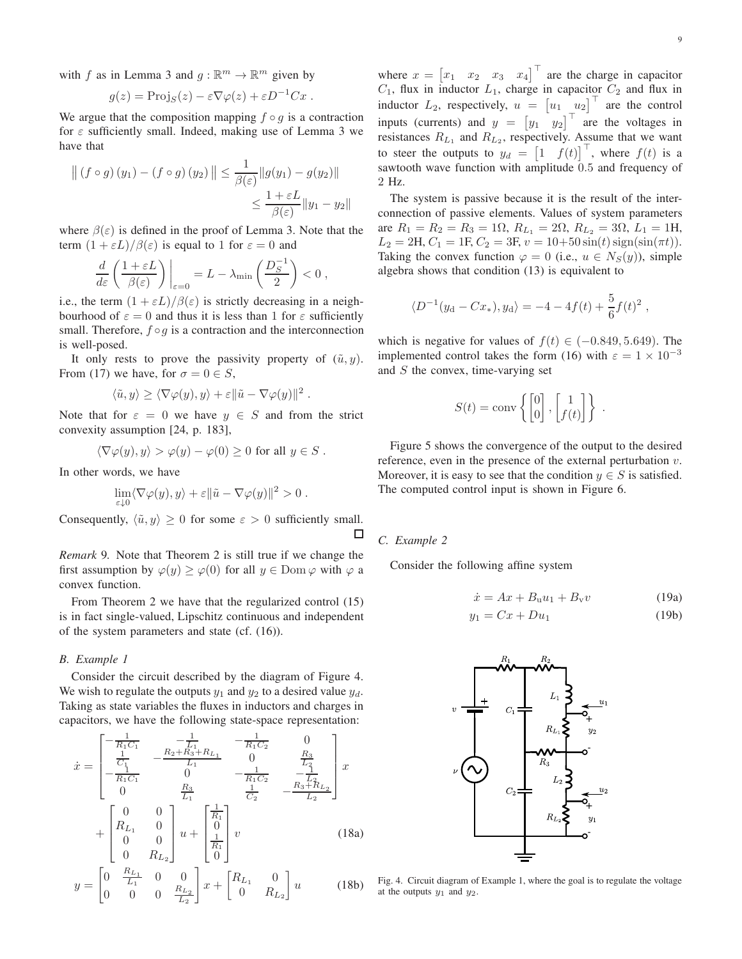with f as in Lemma 3 and  $q : \mathbb{R}^m \to \mathbb{R}^m$  given by

$$
g(z) = \text{Proj}_S(z) - \varepsilon \nabla \varphi(z) + \varepsilon D^{-1}Cx.
$$

We argue that the composition mapping  $f \circ g$  is a contraction for  $\varepsilon$  sufficiently small. Indeed, making use of Lemma 3 we have that

$$
\left\| \left( f \circ g \right) (y_1) - \left( f \circ g \right) (y_2) \right\| \le \frac{1}{\beta(\varepsilon)} \| g(y_1) - g(y_2) \|
$$
  

$$
\le \frac{1 + \varepsilon L}{\beta(\varepsilon)} \| y_1 - y_2 \|
$$

where  $\beta(\varepsilon)$  is defined in the proof of Lemma 3. Note that the term  $(1 + \varepsilon L)/\beta(\varepsilon)$  is equal to 1 for  $\varepsilon = 0$  and

$$
\frac{d}{d\varepsilon} \left( \frac{1+\varepsilon L}{\beta(\varepsilon)} \right) \bigg|_{\varepsilon=0} = L - \lambda_{\min} \left( \frac{D_S^{-1}}{2} \right) < 0 ,
$$

i.e., the term  $(1 + \varepsilon L)/\beta(\varepsilon)$  is strictly decreasing in a neighbourhood of  $\varepsilon = 0$  and thus it is less than 1 for  $\varepsilon$  sufficiently small. Therefore,  $f \circ g$  is a contraction and the interconnection is well-posed.

It only rests to prove the passivity property of  $(\tilde{u}, y)$ . From (17) we have, for  $\sigma = 0 \in S$ ,

$$
\langle \tilde{u}, y \rangle \ge \langle \nabla \varphi(y), y \rangle + \varepsilon ||\tilde{u} - \nabla \varphi(y)||^2.
$$

Note that for  $\varepsilon = 0$  we have  $y \in S$  and from the strict convexity assumption [24, p. 183],

$$
\langle \nabla \varphi(y), y \rangle > \varphi(y) - \varphi(0) \ge 0 \text{ for all } y \in S.
$$

In other words, we have

$$
\lim_{\varepsilon \downarrow 0} \langle \nabla \varphi(y), y \rangle + \varepsilon ||\tilde{u} - \nabla \varphi(y)||^2 > 0.
$$

Consequently,  $\langle \tilde{u}, y \rangle \ge 0$  for some  $\varepsilon > 0$  sufficiently small. □

*Remark* 9. Note that Theorem 2 is still true if we change the first assumption by  $\varphi(y) \ge \varphi(0)$  for all  $y \in \text{Dom } \varphi$  with  $\varphi$  a convex function.

From Theorem 2 we have that the regularized control  $(15)$ is in fact single-valued, Lipschitz continuous and independent of the system parameters and state (cf.  $(16)$ ).

# B. Example 1

Consider the circuit described by the diagram of Figure 4. We wish to regulate the outputs  $y_1$  and  $y_2$  to a desired value  $y_d$ . Taking as state variables the fluxes in inductors and charges in capacitors, we have the following state-space representation:

$$
\dot{x} = \begin{bmatrix}\n-\frac{1}{R_1C_1} & -\frac{1}{L_1} & -\frac{1}{R_1C_2} & 0 \\
\frac{1}{C_1} & -\frac{R_2 + R_3 + R_{L_1}}{L_1} & 0 & \frac{R_3}{L_2} \\
-\frac{1}{R_1C_1} & 0 & -\frac{1}{R_1C_2} & -\frac{1}{L_2} \\
0 & \frac{R_3}{L_1} & \frac{1}{C_2} & -\frac{R_3 + R_{L_2}}{L_2}\n\end{bmatrix} x
$$
\n
$$
+ \begin{bmatrix}\n0 & 0 \\
R_{L_1} & 0 \\
0 & 0 \\
0 & R_{L_2}\n\end{bmatrix} u + \begin{bmatrix}\n\frac{1}{R_1} \\
0 \\
\frac{1}{R_1} \\
0\n\end{bmatrix} v
$$
\n(18a)\n
$$
y = \begin{bmatrix}\n0 & \frac{R_{L_1}}{L_1} & 0 & 0 \\
0 & 0 & 0 & \frac{R_{L_2}}{L_2}\n\end{bmatrix} x + \begin{bmatrix}\nR_{L_1} & 0 \\
0 & R_{L_2}\n\end{bmatrix} u
$$
\n(18b)

where  $x = \begin{bmatrix} x_1 & x_2 & x_3 & x_4 \end{bmatrix}^\top$  are the charge in capacitor  $C_1$ , flux in inductor  $L_1$ , charge in capacitor  $C_2$  and flux in inductor  $L_2$ , respectively,  $u = [u_1 \quad u_2]$  are the control inputs (currents) and  $y = [y_1 \ y_2]^\top$  are the voltages in resistances  $R_{L_1}$  and  $R_{L_2}$ , respectively. Assume that we want to steer the outputs to  $y_d = \begin{bmatrix} 1 & f(t) \end{bmatrix}^\top$ , where  $f(t)$  is a sawtooth wave function with amplitude 0.5 and frequency of 2 Hz.

The system is passive because it is the result of the interconnection of passive elements. Values of system parameters are  $R_1 = R_2 = R_3 = 1\Omega$ ,  $R_{L_1} = 2\Omega$ ,  $R_{L_2} = 3\Omega$ ,  $L_1 = 1H$ ,  $L_2 = 2H, C_1 = 1F, C_2 = 3F, v = 10+50\sin(t)\text{sign}(\sin(\pi t)).$ Taking the convex function  $\varphi = 0$  (i.e.,  $u \in N_S(y)$ ), simple algebra shows that condition (13) is equivalent to

$$
\langle D^{-1}(y_{\rm d}-Cx_*) , y_{\rm d} \rangle = -4 - 4f(t) + \frac{5}{6}f(t)^2
$$

which is negative for values of  $f(t) \in (-0.849, 5.649)$ . The implemented control takes the form (16) with  $\varepsilon = 1 \times 10^{-3}$ and  $S$  the convex, time-varying set

$$
S(t) = \text{conv}\left\{ \begin{bmatrix} 0 \\ 0 \end{bmatrix}, \begin{bmatrix} 1 \\ f(t) \end{bmatrix} \right\}
$$

Figure 5 shows the convergence of the output to the desired reference, even in the presence of the external perturbation  $v$ . Moreover, it is easy to see that the condition  $y \in S$  is satisfied. The computed control input is shown in Figure 6.

# C. Example 2

Consider the following affine system

$$
\dot{x} = Ax + B_u u_1 + B_v v \tag{19a}
$$

$$
y_1 = Cx + Du_1 \tag{19b}
$$



Fig. 4. Circuit diagram of Example 1, where the goal is to regulate the voltage at the outputs  $y_1$  and  $y_2$ .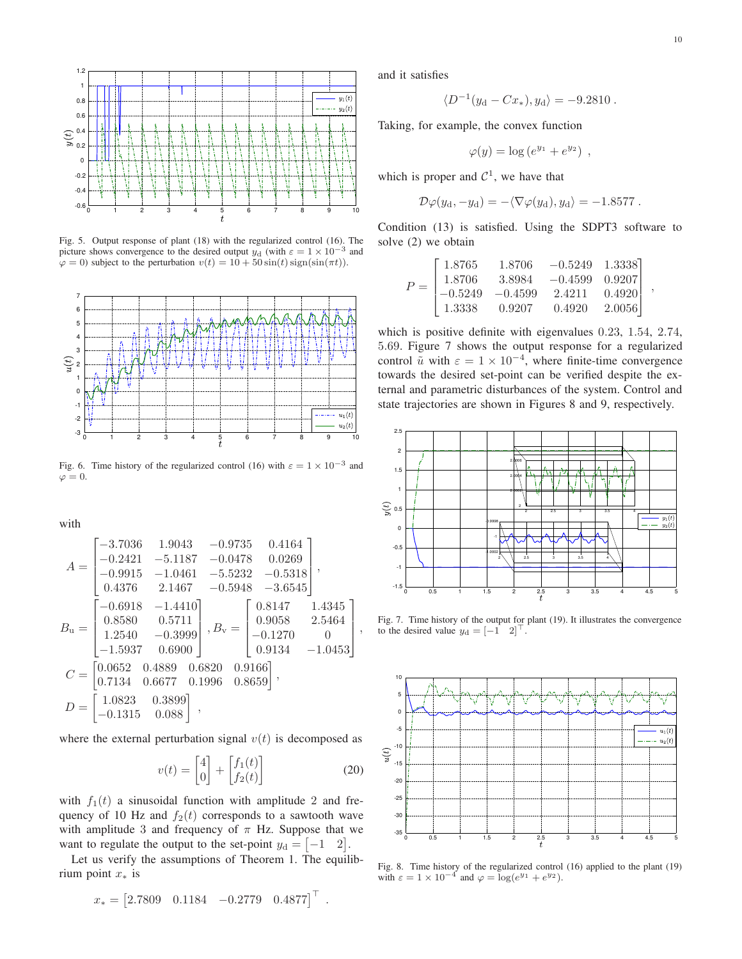

Fig. 5. Output response of plant (18) with the regularized control (16). The picture shows convergence to the desired output  $y_d$  (with  $\varepsilon = 1 \times 10^{-3}$  and  $\varphi = 0$ ) subject to the perturbation  $v(t) = 10 + 50 \sin(t) \operatorname{sign}(\sin(\pi t)).$ 



Fig. 6. Time history of the regularized control (16) with  $\varepsilon = 1 \times 10^{-3}$  and  $\varphi=0.$ 

with

$$
A = \begin{bmatrix} -3.7036 & 1.9043 & -0.9735 & 0.4164 \\ -0.2421 & -5.1187 & -0.0478 & 0.0269 \\ -0.9915 & -1.0461 & -5.5232 & -0.5318 \\ 0.4376 & 2.1467 & -0.5948 & -3.6545 \end{bmatrix},
$$
  
\n
$$
B_{\mathbf{u}} = \begin{bmatrix} -0.6918 & -1.4410 \\ 0.8580 & 0.5711 \\ 1.2540 & -0.3999 \\ -1.5937 & 0.6900 \end{bmatrix}, B_{\mathbf{v}} = \begin{bmatrix} 0.8147 & 1.4345 \\ 0.9058 & 2.5464 \\ -0.1270 & 0 \\ 0.9134 & -1.0453 \end{bmatrix}
$$
  
\n
$$
C = \begin{bmatrix} 0.0652 & 0.4889 & 0.6820 & 0.9166 \\ 0.7134 & 0.6677 & 0.1996 & 0.8659 \end{bmatrix},
$$
  
\n
$$
D = \begin{bmatrix} 1.0823 & 0.3899 \\ -0.1315 & 0.088 \end{bmatrix},
$$

where the external perturbation signal  $v(t)$  is decomposed as

$$
v(t) = \begin{bmatrix} 4 \\ 0 \end{bmatrix} + \begin{bmatrix} f_1(t) \\ f_2(t) \end{bmatrix}
$$
 (20)

with  $f_1(t)$  a sinusoidal function with amplitude 2 and frequency of 10 Hz and  $f_2(t)$  corresponds to a sawtooth wave with amplitude 3 and frequency of  $\pi$  Hz. Suppose that we want to regulate the output to the set-point  $y_d = \begin{bmatrix} -1 & 2 \end{bmatrix}$ .

Let us verify the assumptions of Theorem 1. The equilibrium point  $x_*$  is

$$
x_* = [2.7809 \quad 0.1184 \quad -0.2779 \quad 0.4877]^\top
$$

and it satisfies

$$
\langle D^{-1}(y_{\rm d}-Cx_*) , y_{\rm d} \rangle = -9.2810 \ .
$$

Taking, for example, the convex function

$$
\varphi(y) = \log \left(e^{y_1} + e^{y_2}\right) ,
$$

which is proper and  $C^1$ , we have that

$$
\mathcal{D}\varphi(y_{\rm d}, -y_{\rm d}) = -\langle \nabla \varphi(y_{\rm d}), y_{\rm d} \rangle = -1.8577.
$$

Condition (13) is satisfied. Using the SDPT3 software to solve (2) we obtain

$$
P = \begin{bmatrix} 1.8765 & 1.8706 & -0.5249 & 1.3338 \\ 1.8706 & 3.8984 & -0.4599 & 0.9207 \\ -0.5249 & -0.4599 & 2.4211 & 0.4920 \\ 1.3338 & 0.9207 & 0.4920 & 2.0056 \end{bmatrix}.
$$

which is positive definite with eigenvalues  $0.23$ ,  $1.54$ ,  $2.74$ , 5.69. Figure 7 shows the output response for a regularized control  $\tilde{u}$  with  $\varepsilon = 1 \times 10^{-4}$ , where finite-time convergence towards the desired set-point can be verified despite the external and parametric disturbances of the system. Control and state trajectories are shown in Figures 8 and 9, respectively.



Fig. 7. Time history of the output for plant (19). It illustrates the convergence to the desired value  $y_d = \begin{bmatrix} -1 & 2 \end{bmatrix}^\top$ .



Fig. 8. Time history of the regularized control  $(16)$  applied to the plant  $(19)$ with  $\varepsilon = 1 \times 10^{-4}$  and  $\varphi = \log(e^{y_1} + e^{y_2}).$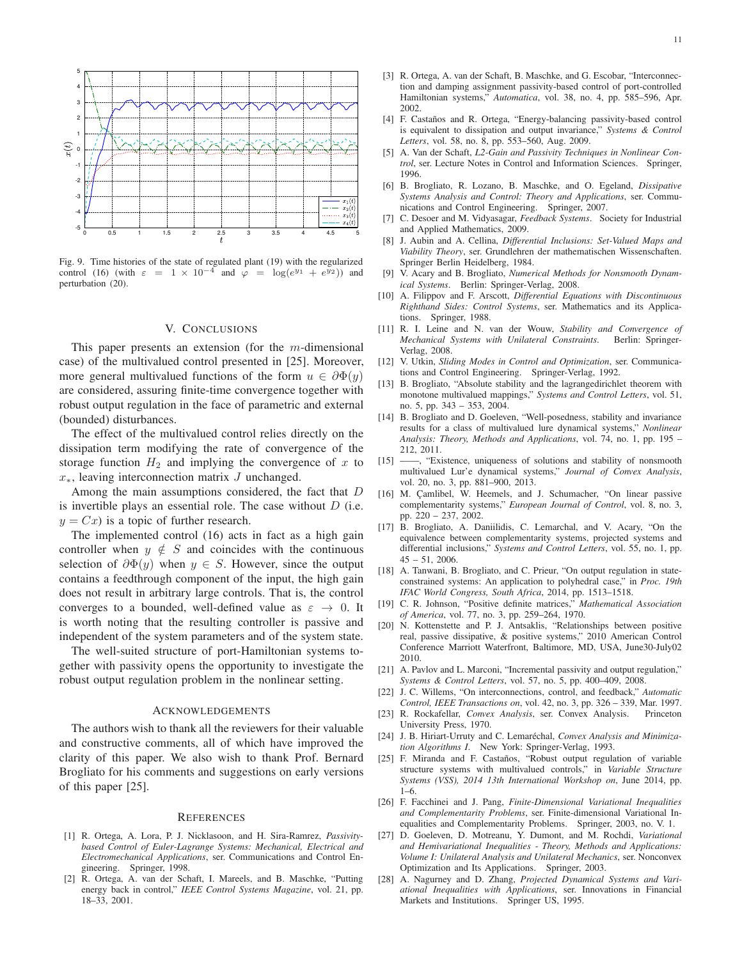

Fig. 9. Time histories of the state of regulated plant (19) with the regularized control (16) (with  $\varepsilon = 1 \times 10^{-4}$  and  $\varphi = \log(e^{y_1} + e^{y_2})$ ) and perturbation (20).

### V. CONCLUSIONS

This paper presents an extension (for the  $m$ -dimensional case) of the multivalued control presented in [25]. Moreover, more general multivalued functions of the form  $u \in \partial \Phi(y)$ are considered, assuring finite-time convergence together with robust output regulation in the face of parametric and external (bounded) disturbances.

The effect of the multivalued control relies directly on the dissipation term modifying the rate of convergence of the storage function  $H_2$  and implying the convergence of x to  $x_*$ , leaving interconnection matrix  $J$  unchanged.

Among the main assumptions considered, the fact that  $D$ is invertible plays an essential role. The case without  $D$  (i.e.  $y = Cx$  is a topic of further research.

The implemented control (16) acts in fact as a high gain controller when  $y \notin S$  and coincides with the continuous selection of  $\partial \Phi(y)$  when  $y \in S$ . However, since the output contains a feedthrough component of the input, the high gain does not result in arbitrary large controls. That is, the control converges to a bounded, well-defined value as  $\varepsilon \rightarrow 0$ . It is worth noting that the resulting controller is passive and independent of the system parameters and of the system state.

The well-suited structure of port-Hamiltonian systems together with passivity opens the opportunity to investigate the robust output regulation problem in the nonlinear setting.

# **ACKNOWLEDGEMENTS**

The authors wish to thank all the reviewers for their valuable and constructive comments, all of which have improved the clarity of this paper. We also wish to thank Prof. Bernard Brogliato for his comments and suggestions on early versions of this paper [25].

#### **REFERENCES**

- [1] R. Ortega, A. Lora, P. J. Nicklasoon, and H. Sira-Ramrez, Passivitybased Control of Euler-Lagrange Systems: Mechanical, Electrical and Electromechanical Applications, ser. Communications and Control Engineering. Springer, 1998.
- [2] R. Ortega, A. van der Schaft, I. Mareels, and B. Maschke, "Putting energy back in control," IEEE Control Systems Magazine, vol. 21, pp. 18-33, 2001.
- [3] R. Ortega, A. van der Schaft, B. Maschke, and G. Escobar, "Interconnection and damping assignment passivity-based control of port-controlled Hamiltonian systems," Automatica, vol. 38, no. 4, pp. 585-596, Apr. 2002.
- [4] F. Castaños and R. Ortega, "Energy-balancing passivity-based control is equivalent to dissipation and output invariance," Systems & Control Letters, vol. 58, no. 8, pp. 553-560, Aug. 2009.
- [5] A. Van der Schaft, L2-Gain and Passivity Techniques in Nonlinear Control, ser. Lecture Notes in Control and Information Sciences. Springer, 1996
- [6] B. Brogliato, R. Lozano, B. Maschke, and O. Egeland, Dissipative Systems Analysis and Control: Theory and Applications, ser. Communications and Control Engineering. Springer, 2007.
- C. Desoer and M. Vidyasagar, Feedback Systems. Society for Industrial  $[7]$ and Applied Mathematics, 2009.
- [8] J. Aubin and A. Cellina, Differential Inclusions: Set-Valued Maps and Viability Theory, ser. Grundlehren der mathematischen Wissenschaften. Springer Berlin Heidelberg, 1984.
- [9] V. Acary and B. Brogliato, Numerical Methods for Nonsmooth Dynamical Systems. Berlin: Springer-Verlag, 2008.
- [10] A. Filippov and F. Arscott, Differential Equations with Discontinuous Righthand Sides: Control Systems, ser. Mathematics and its Applications. Springer, 1988.
- [11] R. I. Leine and N. van der Wouw, Stability and Convergence of Mechanical Systems with Unilateral Constraints. Berlin: Springer-Verlag, 2008.
- [12] V. Utkin, Sliding Modes in Control and Optimization, ser. Communications and Control Engineering. Springer-Verlag, 1992.
- $[13]$ B. Brogliato, "Absolute stability and the lagrangedirichlet theorem with monotone multivalued mappings," Systems and Control Letters, vol. 51, no. 5, pp. 343 - 353, 2004.
- [14] B. Brogliato and D. Goeleven, "Well-posedness, stability and invariance results for a class of multivalued lure dynamical systems," Nonlinear Analysis: Theory, Methods and Applications, vol. 74, no. 1, pp. 195 -212, 2011.
- $\left[ 15\right]$ -, "Existence, uniqueness of solutions and stability of nonsmooth multivalued Lur'e dynamical systems," Journal of Convex Analysis, vol. 20, no. 3, pp. 881-900, 2013.
- [16] M. Çamlibel, W. Heemels, and J. Schumacher, "On linear passive complementarity systems," European Journal of Control, vol. 8, no. 3, pp. 220 - 237, 2002.
- [17] B. Brogliato, A. Daniilidis, C. Lemarchal, and V. Acary, "On the equivalence between complementarity systems, projected systems and differential inclusions," Systems and Control Letters, vol. 55, no. 1, pp.  $45 - 51$ , 2006.
- [18] A. Tanwani, B. Brogliato, and C. Prieur, "On output regulation in stateconstrained systems: An application to polyhedral case," in Proc. 19th IFAC World Congress, South Africa, 2014, pp. 1513-1518.
- [19] C. R. Johnson, "Positive definite matrices," Mathematical Association of America, vol. 77, no. 3, pp. 259-264, 1970.
- [20] N. Kottenstette and P. J. Antsaklis, "Relationships between positive real, passive dissipative, & positive systems," 2010 American Control Conference Marriott Waterfront, Baltimore, MD, USA, June30-July02 2010.
- [21] A. Pavlov and L. Marconi, "Incremental passivity and output regulation," Systems & Control Letters, vol. 57, no. 5, pp. 400-409, 2008.
- J. C. Willems, "On interconnections, control, and feedback," Automatic  $[22]$ Control, IEEE Transactions on, vol. 42, no. 3, pp. 326 - 339, Mar. 1997.
- [23] R. Rockafellar, Convex Analysis, ser. Convex Analysis. Princeton University Press, 1970.
- [24] J. B. Hiriart-Urruty and C. Lemaréchal, Convex Analysis and Minimization Algorithms I. New York: Springer-Verlag, 1993.
- [25] F. Miranda and F. Castaños, "Robust output regulation of variable structure systems with multivalued controls," in Variable Structure Systems (VSS), 2014 13th International Workshop on, June 2014, pp.  $1 - 6$
- [26] F. Facchinei and J. Pang, Finite-Dimensional Variational Inequalities and Complementarity Problems, ser. Finite-dimensional Variational Inequalities and Complementarity Problems. Springer, 2003, no. V. 1.
- [27] D. Goeleven, D. Motreanu, Y. Dumont, and M. Rochdi, Variational and Hemivariational Inequalities - Theory, Methods and Applications: Volume I: Unilateral Analysis and Unilateral Mechanics, ser. Nonconvex Optimization and Its Applications. Springer, 2003.
- $[28]$ A. Nagurney and D. Zhang, Projected Dynamical Systems and Variational Inequalities with Applications, ser. Innovations in Financial Markets and Institutions. Springer US, 1995.